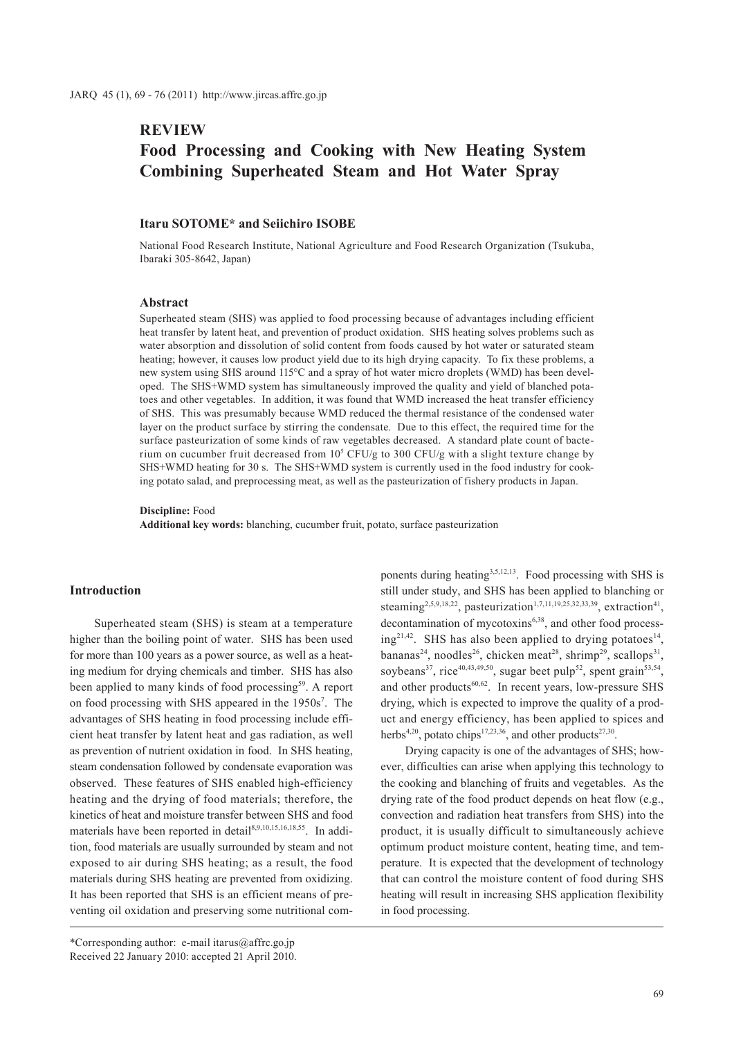# **REVIEW**

# **Food Processing and Cooking with New Heating System Combining Superheated Steam and Hot Water Spray**

# **Itaru SOTOME\* and Seiichiro ISOBE**

National Food Research Institute, National Agriculture and Food Research Organization (Tsukuba, Ibaraki 305-8642, Japan)

### **Abstract**

Superheated steam (SHS) was applied to food processing because of advantages including efficient heat transfer by latent heat, and prevention of product oxidation. SHS heating solves problems such as water absorption and dissolution of solid content from foods caused by hot water or saturated steam heating; however, it causes low product yield due to its high drying capacity. To fix these problems, a new system using SHS around 115°C and a spray of hot water micro droplets (WMD) has been developed. The SHS+WMD system has simultaneously improved the quality and yield of blanched potatoes and other vegetables. In addition, it was found that WMD increased the heat transfer efficiency of SHS. This was presumably because WMD reduced the thermal resistance of the condensed water layer on the product surface by stirring the condensate. Due to this effect, the required time for the surface pasteurization of some kinds of raw vegetables decreased. A standard plate count of bacterium on cucumber fruit decreased from  $10^5$  CFU/g to 300 CFU/g with a slight texture change by SHS+WMD heating for 30 s. The SHS+WMD system is currently used in the food industry for cooking potato salad, and preprocessing meat, as well as the pasteurization of fishery products in Japan.

**Discipline:** Food

**Additional key words:** blanching, cucumber fruit, potato, surface pasteurization

# **Introduction**

Superheated steam (SHS) is steam at a temperature higher than the boiling point of water. SHS has been used for more than 100 years as a power source, as well as a heating medium for drying chemicals and timber. SHS has also been applied to many kinds of food processing<sup>59</sup>. A report on food processing with SHS appeared in the 1950s<sup>7</sup>. The advantages of SHS heating in food processing include efficient heat transfer by latent heat and gas radiation, as well as prevention of nutrient oxidation in food. In SHS heating, steam condensation followed by condensate evaporation was observed. These features of SHS enabled high-efficiency heating and the drying of food materials; therefore, the kinetics of heat and moisture transfer between SHS and food materials have been reported in detail<sup>8,9,10,15,16,18,55</sup>. In addition, food materials are usually surrounded by steam and not exposed to air during SHS heating; as a result, the food materials during SHS heating are prevented from oxidizing. It has been reported that SHS is an efficient means of preventing oil oxidation and preserving some nutritional com-

ponents during heating<sup>3,5,12,13</sup>. Food processing with SHS is still under study, and SHS has been applied to blanching or steaming<sup>2,5,9,18,22</sup>, pasteurization<sup>1,7,11,19,25,32,33,39</sup>, extraction<sup>41</sup>, decontamination of mycotoxins<sup>6,38</sup>, and other food process $ing^{21,42}$ . SHS has also been applied to drying potatoes<sup>14</sup>, bananas<sup>24</sup>, noodles<sup>26</sup>, chicken meat<sup>28</sup>, shrimp<sup>29</sup>, scallops<sup>31</sup>. soybeans<sup>37</sup>, rice<sup>40,43,49,50</sup>, sugar beet pulp<sup>52</sup>, spent grain<sup>53,54</sup>, and other products $60,62$ . In recent years, low-pressure SHS drying, which is expected to improve the quality of a product and energy efficiency, has been applied to spices and herbs<sup>4,20</sup>, potato chips<sup>17,23,36</sup>, and other products<sup>27,30</sup>.

Drying capacity is one of the advantages of SHS; however, difficulties can arise when applying this technology to the cooking and blanching of fruits and vegetables. As the drying rate of the food product depends on heat flow (e.g., convection and radiation heat transfers from SHS) into the product, it is usually difficult to simultaneously achieve optimum product moisture content, heating time, and temperature. It is expected that the development of technology that can control the moisture content of food during SHS heating will result in increasing SHS application flexibility in food processing.

<sup>\*</sup>Corresponding author: e-mail itarus@affrc.go.jp Received 22 January 2010: accepted 21 April 2010.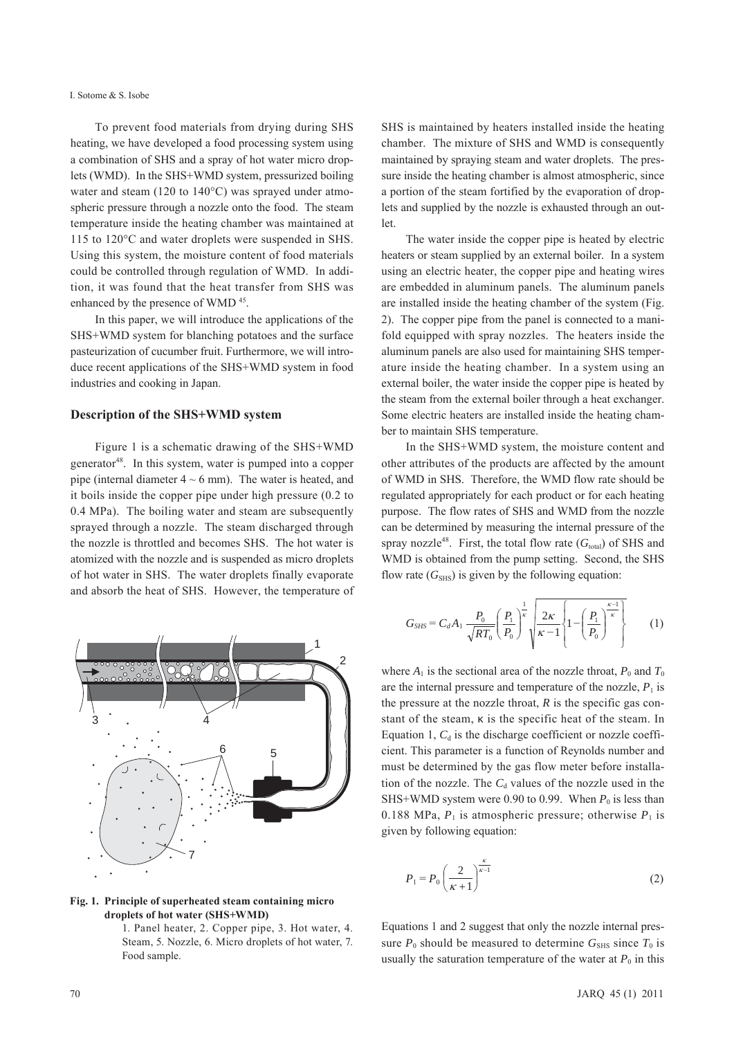#### I. Sotome & S. Isobe

To prevent food materials from drying during SHS heating, we have developed a food processing system using a combination of SHS and a spray of hot water micro droplets (WMD). In the SHS+WMD system, pressurized boiling water and steam (120 to 140°C) was sprayed under atmospheric pressure through a nozzle onto the food. The steam temperature inside the heating chamber was maintained at 115 to 120°C and water droplets were suspended in SHS. Using this system, the moisture content of food materials could be controlled through regulation of WMD. In addition, it was found that the heat transfer from SHS was enhanced by the presence of WMD<sup>45</sup>.

In this paper, we will introduce the applications of the SHS+WMD system for blanching potatoes and the surface pasteurization of cucumber fruit. Furthermore, we will introduce recent applications of the SHS+WMD system in food industries and cooking in Japan.

### **Description of the SHS+WMD system**

Figure 1 is a schematic drawing of the SHS+WMD generator<sup>48</sup>. In this system, water is pumped into a copper pipe (internal diameter  $4 \sim 6$  mm). The water is heated, and it boils inside the copper pipe under high pressure (0.2 to 0.4 MPa). The boiling water and steam are subsequently sprayed through a nozzle. The steam discharged through the nozzle is throttled and becomes SHS. The hot water is atomized with the nozzle and is suspended as micro droplets of hot water in SHS. The water droplets finally evaporate and absorb the heat of SHS. However, the temperature of



**Fig. 1. Principle of superheated steam containing micro droplets of hot water (SHS+WMD)**

1. Panel heater, 2. Copper pipe, 3. Hot water, 4. Steam, 5. Nozzle, 6. Micro droplets of hot water, 7. Food sample.

SHS is maintained by heaters installed inside the heating chamber. The mixture of SHS and WMD is consequently maintained by spraying steam and water droplets. The pressure inside the heating chamber is almost atmospheric, since a portion of the steam fortified by the evaporation of droplets and supplied by the nozzle is exhausted through an outlet.

The water inside the copper pipe is heated by electric heaters or steam supplied by an external boiler. In a system using an electric heater, the copper pipe and heating wires are embedded in aluminum panels. The aluminum panels are installed inside the heating chamber of the system (Fig. 2). The copper pipe from the panel is connected to a manifold equipped with spray nozzles. The heaters inside the aluminum panels are also used for maintaining SHS temperature inside the heating chamber. In a system using an external boiler, the water inside the copper pipe is heated by the steam from the external boiler through a heat exchanger. Some electric heaters are installed inside the heating chamber to maintain SHS temperature.

In the SHS+WMD system, the moisture content and other attributes of the products are affected by the amount of WMD in SHS. Therefore, the WMD flow rate should be regulated appropriately for each product or for each heating purpose. The flow rates of SHS and WMD from the nozzle can be determined by measuring the internal pressure of the spray nozzle<sup>48</sup>. First, the total flow rate  $(G<sub>total</sub>)$  of SHS and WMD is obtained from the pump setting. Second, the SHS flow rate  $(G<sub>SHS</sub>)$  is given by the following equation:

$$
G_{SHS} = C_d A_1 \frac{P_0}{\sqrt{RT_0}} \left(\frac{P_1}{P_0}\right)^{\frac{1}{\kappa}} \sqrt{\frac{2\kappa}{\kappa - 1} \left\{1 - \left(\frac{P_1}{P_0}\right)^{\frac{\kappa - 1}{\kappa}}\right\}} \tag{1}
$$

where  $A_1$  is the sectional area of the nozzle throat,  $P_0$  and  $T_0$ are the internal pressure and temperature of the nozzle,  $P_1$  is the pressure at the nozzle throat,  $R$  is the specific gas constant of the steam, κ is the specific heat of the steam. In Equation 1,  $C_d$  is the discharge coefficient or nozzle coefficient. This parameter is a function of Reynolds number and must be determined by the gas flow meter before installation of the nozzle. The  $C_d$  values of the nozzle used in the SHS+WMD system were 0.90 to 0.99. When  $P_0$  is less than 0.188 MPa,  $P_1$  is atmospheric pressure; otherwise  $P_1$  is given by following equation:

$$
P_1 = P_0 \left(\frac{2}{\kappa + 1}\right)^{\frac{\kappa}{\kappa - 1}}
$$
 (2)

Equations 1 and 2 suggest that only the nozzle internal pressure  $P_0$  should be measured to determine  $G_{\text{SHS}}$  since  $T_0$  is usually the saturation temperature of the water at  $P_0$  in this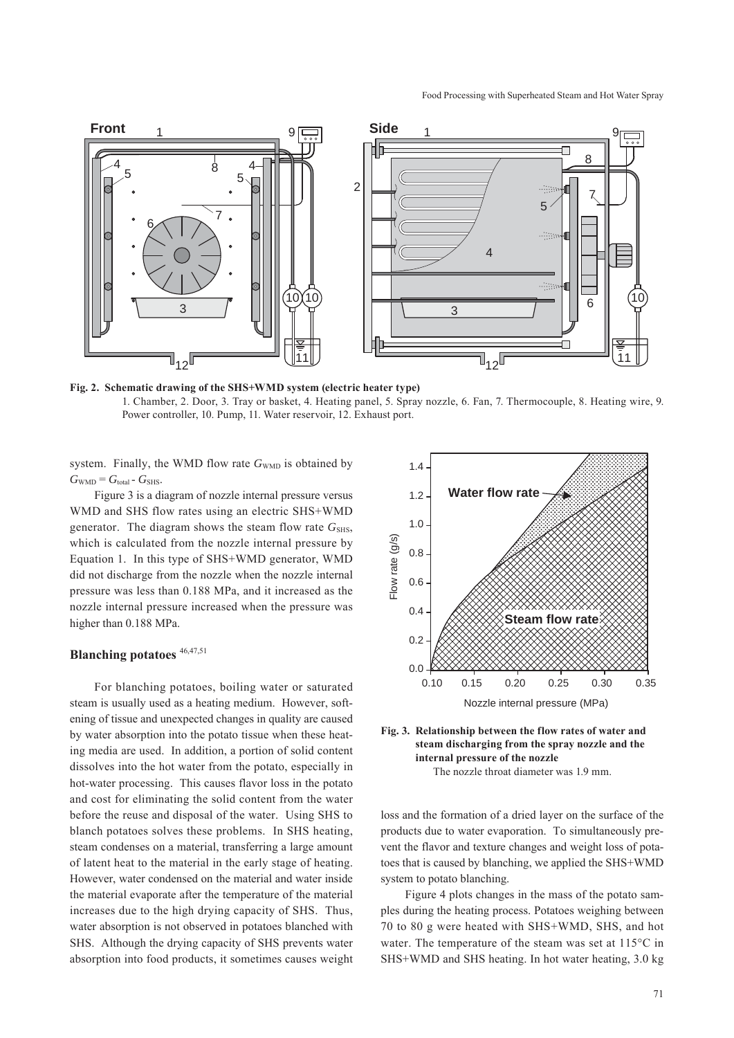

**Fig. 2. Schematic drawing of the SHS+WMD system (electric heater type)** 1. Chamber, 2. Door, 3. Tray or basket, 4. Heating panel, 5. Spray nozzle, 6. Fan, 7. Thermocouple, 8. Heating wire, 9. Power controller, 10. Pump, 11. Water reservoir, 12. Exhaust port.

system. Finally, the WMD flow rate  $G<sub>WMD</sub>$  is obtained by  $G<sub>WMD</sub> = G<sub>total</sub> - G<sub>SHS</sub>$ .

Figure 3 is a diagram of nozzle internal pressure versus WMD and SHS flow rates using an electric SHS+WMD generator. The diagram shows the steam flow rate  $G<sub>SHS</sub>$ , which is calculated from the nozzle internal pressure by Equation 1. In this type of SHS+WMD generator, WMD did not discharge from the nozzle when the nozzle internal pressure was less than 0.188 MPa, and it increased as the nozzle internal pressure increased when the pressure was higher than 0.188 MPa.

# **Blanching potatoes** 46,47,51

For blanching potatoes, boiling water or saturated steam is usually used as a heating medium. However, softening of tissue and unexpected changes in quality are caused by water absorption into the potato tissue when these heating media are used. In addition, a portion of solid content dissolves into the hot water from the potato, especially in hot-water processing. This causes flavor loss in the potato and cost for eliminating the solid content from the water before the reuse and disposal of the water. Using SHS to blanch potatoes solves these problems. In SHS heating, steam condenses on a material, transferring a large amount of latent heat to the material in the early stage of heating. However, water condensed on the material and water inside the material evaporate after the temperature of the material increases due to the high drying capacity of SHS. Thus, water absorption is not observed in potatoes blanched with SHS. Although the drying capacity of SHS prevents water absorption into food products, it sometimes causes weight





loss and the formation of a dried layer on the surface of the products due to water evaporation. To simultaneously prevent the flavor and texture changes and weight loss of potatoes that is caused by blanching, we applied the SHS+WMD system to potato blanching.

Figure 4 plots changes in the mass of the potato samples during the heating process. Potatoes weighing between 70 to 80 g were heated with SHS+WMD, SHS, and hot water. The temperature of the steam was set at 115°C in SHS+WMD and SHS heating. In hot water heating, 3.0 kg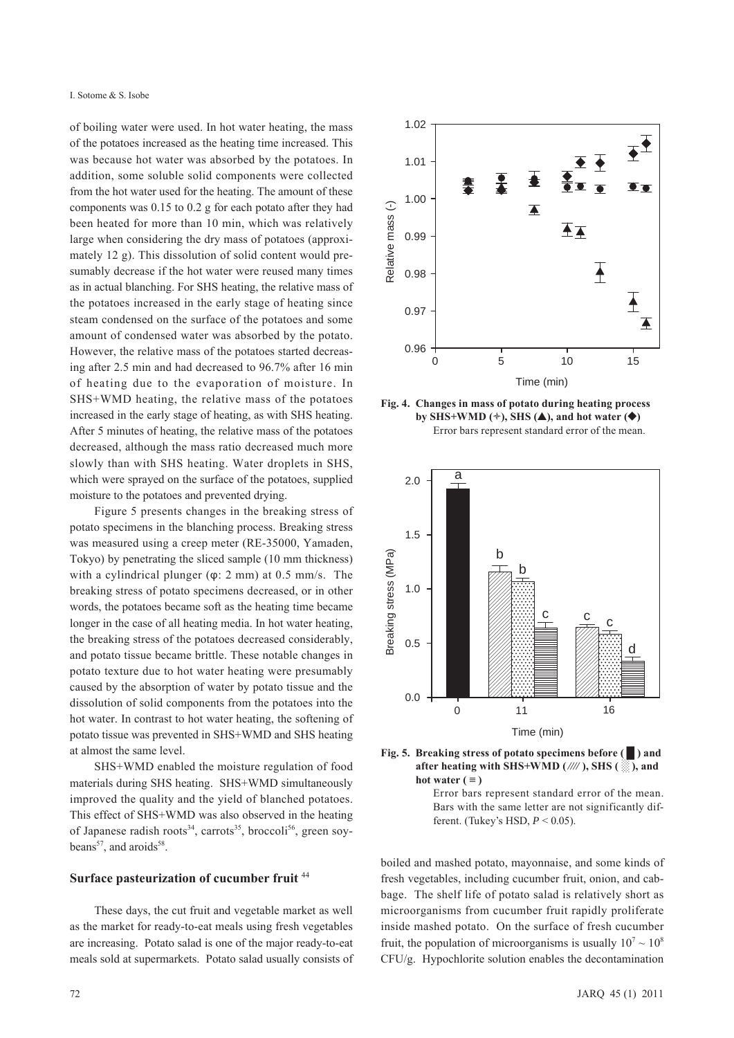of boiling water were used. In hot water heating, the mass of the potatoes increased as the heating time increased. This was because hot water was absorbed by the potatoes. In addition, some soluble solid components were collected from the hot water used for the heating. The amount of these components was 0.15 to 0.2 g for each potato after they had been heated for more than 10 min, which was relatively large when considering the dry mass of potatoes (approximately 12 g). This dissolution of solid content would presumably decrease if the hot water were reused many times as in actual blanching. For SHS heating, the relative mass of the potatoes increased in the early stage of heating since steam condensed on the surface of the potatoes and some amount of condensed water was absorbed by the potato. However, the relative mass of the potatoes started decreasing after 2.5 min and had decreased to 96.7% after 16 min of heating due to the evaporation of moisture. In SHS+WMD heating, the relative mass of the potatoes increased in the early stage of heating, as with SHS heating. After 5 minutes of heating, the relative mass of the potatoes decreased, although the mass ratio decreased much more slowly than with SHS heating. Water droplets in SHS, which were sprayed on the surface of the potatoes, supplied moisture to the potatoes and prevented drying.

Figure 5 presents changes in the breaking stress of potato specimens in the blanching process. Breaking stress was measured using a creep meter (RE-35000, Yamaden, Tokyo) by penetrating the sliced sample (10 mm thickness) with a cylindrical plunger (φ: 2 mm) at 0.5 mm/s. The breaking stress of potato specimens decreased, or in other words, the potatoes became soft as the heating time became longer in the case of all heating media. In hot water heating, the breaking stress of the potatoes decreased considerably, and potato tissue became brittle. These notable changes in potato texture due to hot water heating were presumably caused by the absorption of water by potato tissue and the dissolution of solid components from the potatoes into the hot water. In contrast to hot water heating, the softening of potato tissue was prevented in SHS+WMD and SHS heating at almost the same level.

SHS+WMD enabled the moisture regulation of food materials during SHS heating. SHS+WMD simultaneously improved the quality and the yield of blanched potatoes. This effect of SHS+WMD was also observed in the heating of Japanese radish roots<sup>34</sup>, carrots<sup>35</sup>, broccoli<sup>56</sup>, green soybeans<sup>57</sup>, and aroids<sup>58</sup>.

### **Surface pasteurization of cucumber fruit** <sup>44</sup>

These days, the cut fruit and vegetable market as well as the market for ready-to-eat meals using fresh vegetables are increasing. Potato salad is one of the major ready-to-eat meals sold at supermarkets. Potato salad usually consists of



**Fig. 4. Changes in mass of potato during heating process**  by SHS+WMD  $(*)$ , SHS  $(\triangle)$ , and hot water  $(\triangle)$ Error bars represent standard error of the mean.





Error bars represent standard error of the mean. Bars with the same letter are not significantly different. (Tukey's HSD, *P* < 0.05).

boiled and mashed potato, mayonnaise, and some kinds of fresh vegetables, including cucumber fruit, onion, and cabbage. The shelf life of potato salad is relatively short as microorganisms from cucumber fruit rapidly proliferate inside mashed potato. On the surface of fresh cucumber fruit, the population of microorganisms is usually  $10^7 \sim 10^8$ CFU/g. Hypochlorite solution enables the decontamination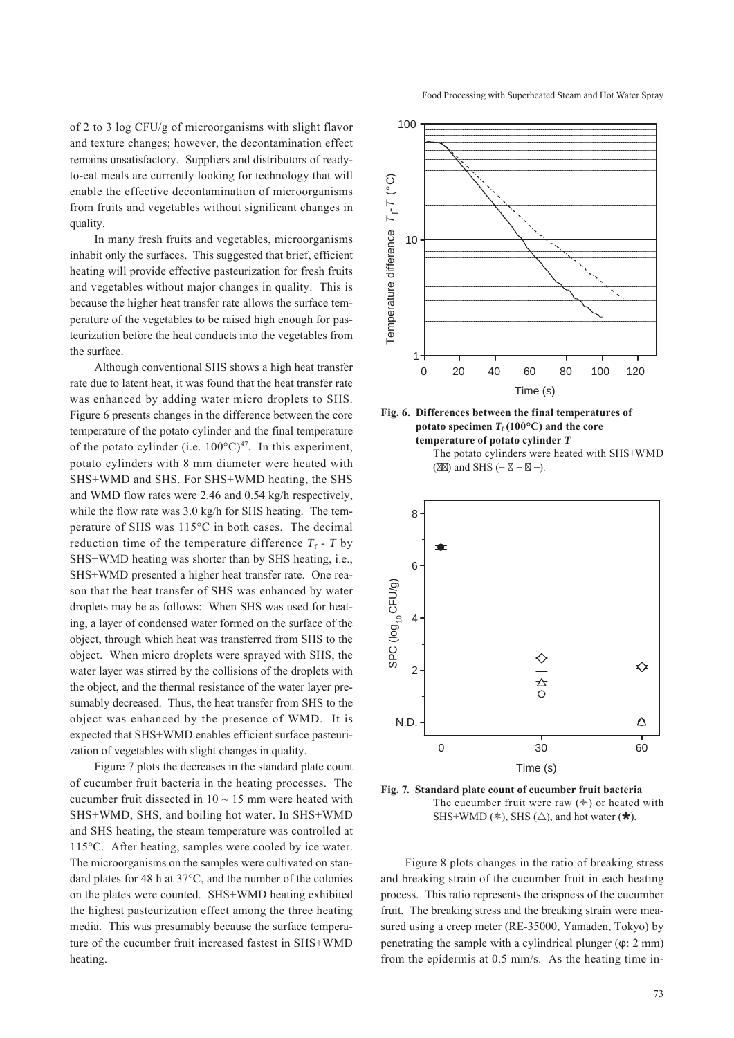of 2 to 3 log CFU/g of microorganisms with slight flavor and texture changes; however, the decontamination effect remains unsatisfactory. Suppliers and distributors of readyto-eat meals are currently looking for technology that will enable the effective decontamination of microorganisms from fruits and vegetables without significant changes in quality.

In many fresh fruits and vegetables, microorganisms inhabit only the surfaces. This suggested that brief, efficient heating will provide effective pasteurization for fresh fruits and vegetables without major changes in quality. This is because the higher heat transfer rate allows the surface temperature of the vegetables to be raised high enough for pasteurization before the heat conducts into the vegetables from the surface.

Although conventional SHS shows a high heat transfer rate due to latent heat, it was found that the heat transfer rate was enhanced by adding water micro droplets to SHS. Figure 6 presents changes in the difference between the core temperature of the potato cylinder and the final temperature of the potato cylinder (i.e.  $100^{\circ}$ C)<sup>47</sup>. In this experiment, potato cylinders with 8 mm diameter were heated with SHS+WMD and SHS. For SHS+WMD heating, the SHS and WMD flow rates were 2.46 and 0.54 kg/h respectively, while the flow rate was  $3.0 \text{ kg/h}$  for SHS heating. The temperature of SHS was 115°C in both cases. The decimal reduction time of the temperature difference  $T_f$  - *T* by SHS+WMD heating was shorter than by SHS heating, i.e., SHS+WMD presented a higher heat transfer rate. One reason that the heat transfer of SHS was enhanced by water droplets may be as follows: When SHS was used for heating, a layer of condensed water formed on the surface of the object, through which heat was transferred from SHS to the object. When micro droplets were sprayed with SHS, the water layer was stirred by the collisions of the droplets with the object, and the thermal resistance of the water layer presumably decreased. Thus, the heat transfer from SHS to the object was enhanced by the presence of WMD. It is expected that SHS+WMD enables efficient surface pasteurization of vegetables with slight changes in quality.

Figure 7 plots the decreases in the standard plate count of cucumber fruit bacteria in the heating processes. The cucumber fruit dissected in  $10 \sim 15$  mm were heated with SHS+WMD, SHS, and boiling hot water. In SHS+WMD and SHS heating, the steam temperature was controlled at 115°C. After heating, samples were cooled by ice water. The microorganisms on the samples were cultivated on standard plates for 48 h at 37°C, and the number of the colonies on the plates were counted. SHS+WMD heating exhibited the highest pasteurization effect among the three heating media. This was presumably because the surface temperature of the cucumber fruit increased fastest in SHS+WMD heating.









**Fig. 7. Standard plate count of cucumber fruit bacteria** The cucumber fruit were raw  $(*)$  or heated with SHS+WMD ( $\ast$ ), SHS ( $\triangle$ ), and hot water ( $\star$ ).

Figure 8 plots changes in the ratio of breaking stress and breaking strain of the cucumber fruit in each heating process. This ratio represents the crispness of the cucumber fruit. The breaking stress and the breaking strain were measured using a creep meter (RE-35000, Yamaden, Tokyo) by penetrating the sample with a cylindrical plunger (φ: 2 mm) from the epidermis at 0.5 mm/s. As the heating time in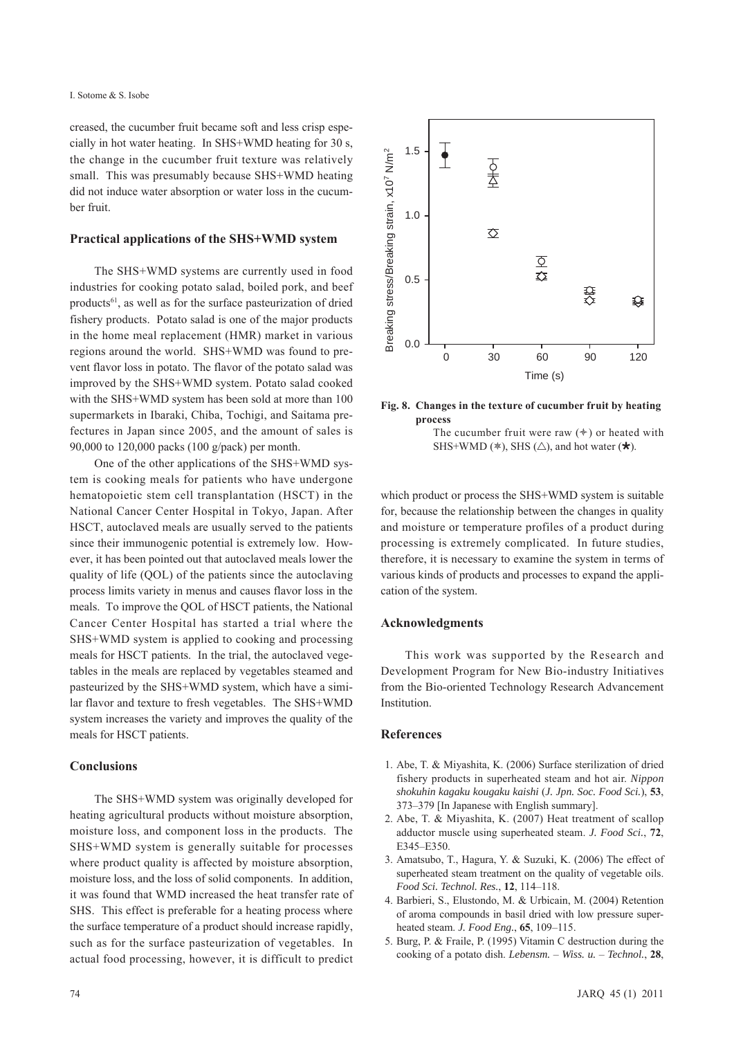creased, the cucumber fruit became soft and less crisp especially in hot water heating. In SHS+WMD heating for 30 s, the change in the cucumber fruit texture was relatively small. This was presumably because SHS+WMD heating did not induce water absorption or water loss in the cucumber fruit.

# **Practical applications of the SHS+WMD system**

The SHS+WMD systems are currently used in food industries for cooking potato salad, boiled pork, and beef products<sup>61</sup>, as well as for the surface pasteurization of dried fishery products. Potato salad is one of the major products in the home meal replacement (HMR) market in various regions around the world. SHS+WMD was found to prevent flavor loss in potato. The flavor of the potato salad was improved by the SHS+WMD system. Potato salad cooked with the SHS+WMD system has been sold at more than 100 supermarkets in Ibaraki, Chiba, Tochigi, and Saitama prefectures in Japan since 2005, and the amount of sales is 90,000 to 120,000 packs (100 g/pack) per month.

One of the other applications of the SHS+WMD system is cooking meals for patients who have undergone hematopoietic stem cell transplantation (HSCT) in the National Cancer Center Hospital in Tokyo, Japan. After HSCT, autoclaved meals are usually served to the patients since their immunogenic potential is extremely low. However, it has been pointed out that autoclaved meals lower the quality of life (QOL) of the patients since the autoclaving process limits variety in menus and causes flavor loss in the meals. To improve the QOL of HSCT patients, the National Cancer Center Hospital has started a trial where the SHS+WMD system is applied to cooking and processing meals for HSCT patients. In the trial, the autoclaved vegetables in the meals are replaced by vegetables steamed and pasteurized by the SHS+WMD system, which have a similar flavor and texture to fresh vegetables. The SHS+WMD system increases the variety and improves the quality of the meals for HSCT patients.

# **Conclusions**

The SHS+WMD system was originally developed for heating agricultural products without moisture absorption, moisture loss, and component loss in the products. The SHS+WMD system is generally suitable for processes where product quality is affected by moisture absorption, moisture loss, and the loss of solid components. In addition, it was found that WMD increased the heat transfer rate of SHS. This effect is preferable for a heating process where the surface temperature of a product should increase rapidly, such as for the surface pasteurization of vegetables. In actual food processing, however, it is difficult to predict



**Fig. 8. Changes in the texture of cucumber fruit by heating process** The cucumber fruit were raw  $(*)$  or heated with SHS+WMD ( $\ast$ ), SHS ( $\triangle$ ), and hot water ( $\star$ ).

which product or process the SHS+WMD system is suitable for, because the relationship between the changes in quality and moisture or temperature profiles of a product during processing is extremely complicated. In future studies, therefore, it is necessary to examine the system in terms of various kinds of products and processes to expand the application of the system.

### **Acknowledgments**

This work was supported by the Research and Development Program for New Bio-industry Initiatives from the Bio-oriented Technology Research Advancement Institution.

# **References**

- 1. Abe, T. & Miyashita, K. (2006) Surface sterilization of dried fishery products in superheated steam and hot air. *Nippon shokuhin kagaku kougaku kaishi* (*J. Jpn. Soc. Food Sci.*), **53**, 373–379 [In Japanese with English summary].
- 2. Abe, T. & Miyashita, K. (2007) Heat treatment of scallop adductor muscle using superheated steam. *J. Food Sci.*, **72**, E345–E350.
- 3. Amatsubo, T., Hagura, Y. & Suzuki, K. (2006) The effect of superheated steam treatment on the quality of vegetable oils. *Food Sci. Technol. Res.*, **12**, 114–118.
- 4. Barbieri, S., Elustondo, M. & Urbicain, M. (2004) Retention of aroma compounds in basil dried with low pressure superheated steam. *J. Food Eng.*, **65**, 109–115.
- 5. Burg, P. & Fraile, P. (1995) Vitamin C destruction during the cooking of a potato dish. *Lebensm.* – *Wiss. u.* – *Technol.*, **28**,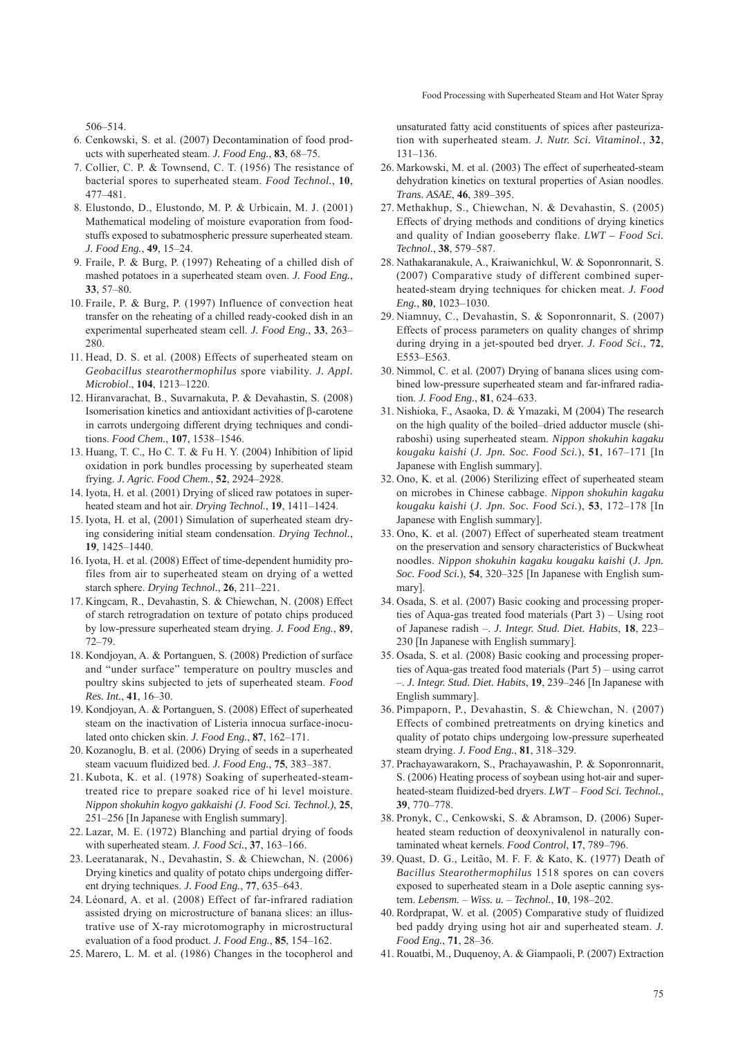506–514.

- 6. Cenkowski, S. et al. (2007) Decontamination of food products with superheated steam. *J. Food Eng.*, **83**, 68–75.
- 7. Collier, C. P. & Townsend, C. T. (1956) The resistance of bacterial spores to superheated steam. *Food Technol.*, **10**, 477–481.
- 8. Elustondo, D., Elustondo, M. P. & Urbicain, M. J. (2001) Mathematical modeling of moisture evaporation from foodstuffs exposed to subatmospheric pressure superheated steam. *J. Food Eng.*, **49**, 15–24.
- 9. Fraile, P. & Burg, P. (1997) Reheating of a chilled dish of mashed potatoes in a superheated steam oven. *J. Food Eng.*, **33**, 57–80.
- 10. Fraile, P. & Burg, P. (1997) Influence of convection heat transfer on the reheating of a chilled ready-cooked dish in an experimental superheated steam cell. *J. Food Eng.*, **33**, 263– 280.
- 11. Head, D. S. et al. (2008) Effects of superheated steam on *Geobacillus stearothermophilus* spore viability. *J. Appl. Microbiol*., **104**, 1213–1220.
- 12. Hiranvarachat, B., Suvarnakuta, P. & Devahastin, S. (2008) Isomerisation kinetics and antioxidant activities of β-carotene in carrots undergoing different drying techniques and conditions. *Food Chem.*, **107**, 1538–1546.
- 13. Huang, T. C., Ho C. T. & Fu H. Y. (2004) Inhibition of lipid oxidation in pork bundles processing by superheated steam frying. *J. Agric. Food Chem.*, **52**, 2924–2928.
- 14. Iyota, H. et al. (2001) Drying of sliced raw potatoes in superheated steam and hot air. *Drying Technol.*, **19**, 1411–1424.
- 15. Iyota, H. et al, (2001) Simulation of superheated steam drying considering initial steam condensation. *Drying Technol.*, **19**, 1425–1440.
- 16. Iyota, H. et al. (2008) Effect of time-dependent humidity profiles from air to superheated steam on drying of a wetted starch sphere. *Drying Technol.*, **26**, 211–221.
- 17. Kingcam, R., Devahastin, S. & Chiewchan, N. (2008) Effect of starch retrogradation on texture of potato chips produced by low-pressure superheated steam drying. *J. Food Eng.*, **89**, 72–79.
- 18. Kondjoyan, A. & Portanguen, S. (2008) Prediction of surface and "under surface" temperature on poultry muscles and poultry skins subjected to jets of superheated steam. *Food Res. Int.*, **41**, 16–30.
- 19. Kondjoyan, A. & Portanguen, S. (2008) Effect of superheated steam on the inactivation of Listeria innocua surface-inoculated onto chicken skin. *J. Food Eng.*, **87**, 162–171.
- 20. Kozanoglu, B. et al. (2006) Drying of seeds in a superheated steam vacuum fluidized bed. *J. Food Eng.*, **75**, 383–387.
- 21. Kubota, K. et al. (1978) Soaking of superheated-steamtreated rice to prepare soaked rice of hi level moisture. *Nippon shokuhin kogyo gakkaishi (J. Food Sci. Technol.)*, **25**, 251–256 [In Japanese with English summary].
- 22. Lazar, M. E. (1972) Blanching and partial drying of foods with superheated steam. *J. Food Sci.*, **37**, 163–166.
- 23. Leeratanarak, N., Devahastin, S. & Chiewchan, N. (2006) Drying kinetics and quality of potato chips undergoing different drying techniques. *J. Food Eng.*, **77**, 635–643.
- 24. Léonard, A. et al. (2008) Effect of far-infrared radiation assisted drying on microstructure of banana slices: an illustrative use of X-ray microtomography in microstructural evaluation of a food product. *J. Food Eng.*, **85**, 154–162.
- 25. Marero, L. M. et al. (1986) Changes in the tocopherol and

unsaturated fatty acid constituents of spices after pasteurization with superheated steam. *J. Nutr. Sci. Vitaminol.*, **32**, 131–136.

- 26. Markowski, M. et al. (2003) The effect of superheated-steam dehydration kinetics on textural properties of Asian noodles. *Trans. ASAE*, **46**, 389–395.
- 27. Methakhup, S., Chiewchan, N. & Devahastin, S. (2005) Effects of drying methods and conditions of drying kinetics and quality of Indian gooseberry flake. *LWT – Food Sci. Technol.*, **38**, 579–587.
- 28. Nathakaranakule, A., Kraiwanichkul, W. & Soponronnarit, S. (2007) Comparative study of different combined superheated-steam drying techniques for chicken meat. *J. Food Eng.*, **80**, 1023–1030.
- 29. Niamnuy, C., Devahastin, S. & Soponronnarit, S. (2007) Effects of process parameters on quality changes of shrimp during drying in a jet-spouted bed dryer. *J. Food Sci.*, **72**, E553–E563.
- 30. Nimmol, C. et al. (2007) Drying of banana slices using combined low-pressure superheated steam and far-infrared radiation. *J. Food Eng.*, **81**, 624–633.
- 31. Nishioka, F., Asaoka, D. & Ymazaki, M (2004) The research on the high quality of the boiled–dried adductor muscle (shiraboshi) using superheated steam. *Nippon shokuhin kagaku kougaku kaishi* (*J. Jpn. Soc. Food Sci.*), **51**, 167–171 [In Japanese with English summary].
- 32. Ono, K. et al. (2006) Sterilizing effect of superheated steam on microbes in Chinese cabbage. *Nippon shokuhin kagaku kougaku kaishi* (*J. Jpn. Soc. Food Sci.*), **53**, 172–178 [In Japanese with English summary].
- 33. Ono, K. et al. (2007) Effect of superheated steam treatment on the preservation and sensory characteristics of Buckwheat noodles. *Nippon shokuhin kagaku kougaku kaishi* (*J. Jpn. Soc. Food Sci.*), **54**, 320–325 [In Japanese with English summary].
- 34. Osada, S. et al. (2007) Basic cooking and processing properties of Aqua-gas treated food materials (Part 3) – Using root of Japanese radish –. *J. Integr. Stud. Diet. Habits*, **18**, 223– 230 [In Japanese with English summary].
- 35. Osada, S. et al. (2008) Basic cooking and processing properties of Aqua-gas treated food materials (Part 5) – using carrot –. *J. Integr. Stud. Diet. Habits*, **19**, 239–246 [In Japanese with English summary].
- 36. Pimpaporn, P., Devahastin, S. & Chiewchan, N. (2007) Effects of combined pretreatments on drying kinetics and quality of potato chips undergoing low-pressure superheated steam drying. *J. Food Eng.*, **81**, 318–329.
- 37. Prachayawarakorn, S., Prachayawashin, P. & Soponronnarit, S. (2006) Heating process of soybean using hot-air and superheated-steam fluidized-bed dryers. *LWT* – *Food Sci. Technol.*, **39**, 770–778.
- 38. Pronyk, C., Cenkowski, S. & Abramson, D. (2006) Superheated steam reduction of deoxynivalenol in naturally contaminated wheat kernels. *Food Control*, **17**, 789–796.
- 39. Quast, D. G., Leitão, M. F. F. & Kato, K. (1977) Death of *Bacillus Stearothermophilus* 1518 spores on can covers exposed to superheated steam in a Dole aseptic canning system. *Lebensm.* – *Wiss. u.* – *Technol.*, **10**, 198–202.
- 40. Rordprapat, W. et al. (2005) Comparative study of fluidized bed paddy drying using hot air and superheated steam. *J. Food Eng.*, **71**, 28–36.
- 41. Rouatbi, M., Duquenoy, A. & Giampaoli, P. (2007) Extraction